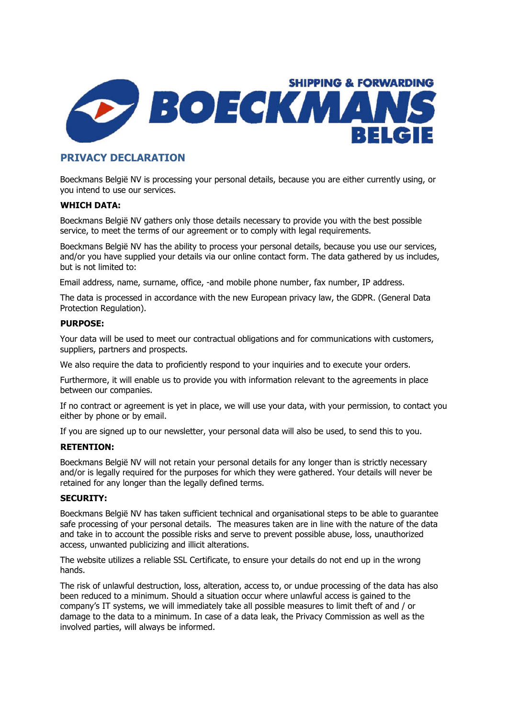

# PRIVACY DECLARATION

Boeckmans België NV is processing your personal details, because you are either currently using, or you intend to use our services.

# WHICH DATA:

Boeckmans België NV gathers only those details necessary to provide you with the best possible service, to meet the terms of our agreement or to comply with legal requirements.

Boeckmans België NV has the ability to process your personal details, because you use our services, and/or you have supplied your details via our online contact form. The data gathered by us includes, but is not limited to:

Email address, name, surname, office, -and mobile phone number, fax number, IP address.

The data is processed in accordance with the new European privacy law, the GDPR. (General Data Protection Regulation).

# PURPOSE:

Your data will be used to meet our contractual obligations and for communications with customers, suppliers, partners and prospects.

We also require the data to proficiently respond to your inquiries and to execute your orders.

Furthermore, it will enable us to provide you with information relevant to the agreements in place between our companies.

If no contract or agreement is yet in place, we will use your data, with your permission, to contact you either by phone or by email.

If you are signed up to our newsletter, your personal data will also be used, to send this to you.

# RETENTION:

Boeckmans België NV will not retain your personal details for any longer than is strictly necessary and/or is legally required for the purposes for which they were gathered. Your details will never be retained for any longer than the legally defined terms.

# SECURITY:

Boeckmans België NV has taken sufficient technical and organisational steps to be able to guarantee safe processing of your personal details. The measures taken are in line with the nature of the data and take in to account the possible risks and serve to prevent possible abuse, loss, unauthorized access, unwanted publicizing and illicit alterations.

The website utilizes a reliable SSL Certificate, to ensure your details do not end up in the wrong hands.

The risk of unlawful destruction, loss, alteration, access to, or undue processing of the data has also been reduced to a minimum. Should a situation occur where unlawful access is gained to the company's IT systems, we will immediately take all possible measures to limit theft of and / or damage to the data to a minimum. In case of a data leak, the Privacy Commission as well as the involved parties, will always be informed.